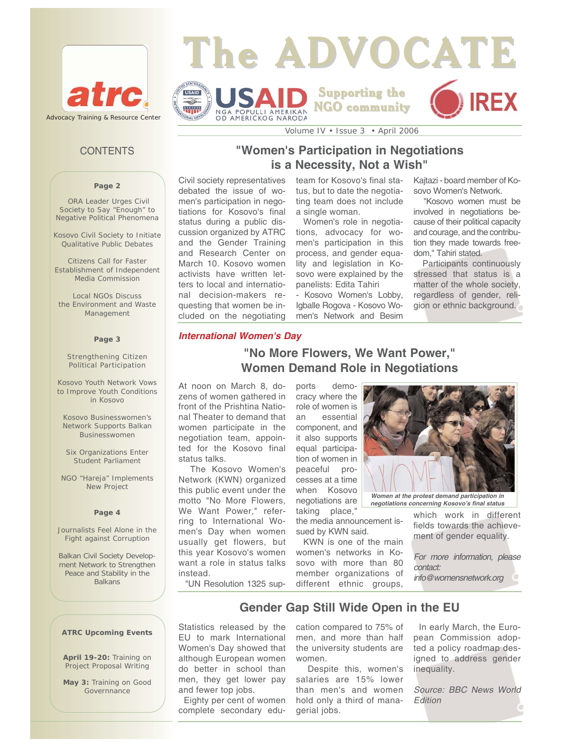

## **The ADVOCATE** STATES **Supporting the** USAID **NGO community** ww NGA POPULLI AMERIKAN<br>OD AMERIČKOG NARODA

## **CONTENTS**

#### **Page 2**

ORA Leader Urges Civil Society to Say "Enough" to Negative Political Phenomena

Kosovo Civil Society to Initiate Qualitative Public Debates

Citizens Call for Faster Establishment of Independent Media Commission

Local NGOs Discuss the Environment and Waste Management

#### **Page 3**

Strengthening Citizen Political Participation

Kosovo Youth Network Vows to Improve Youth Conditions in Kosovo

Kosovo Businesswomen's Network Supports Balkan Businesswomen

Six Organizations Enter Student Parliament

NGO "Hareja" Implements New Project

#### **Page 4**

Journalists Feel Alone in the Fight against Corruption

Balkan Civil Society Development Network to Strengthen Peace and Stability in the Balkans

# **"Women's Participation in Negotiations is a Necessity, Not a Wish"**

Volume IV • Issue 3 • April 2006

Civil society representatives debated the issue of women's participation in negotiations for Kosovo's final status during a public discussion organized by ATRC and the Gender Training and Research Center on March 10. Kosovo women activists have written letters to local and international decision-makers requesting that women be included on the negotiating

team for Kosovo's final status, but to date the negotiating team does not include a single woman.

Women's role in negotiations, advocacy for women's participation in this process, and gender equality and legislation in Kosovo were explained by the panelists: Edita Tahiri

- Kosovo Women's Lobby, Igballe Rogova - Kosovo Women's Network and Besim Kajtazi - board member of Kosovo Women's Network.

"Kosovo women must be involved in negotiations because of their political capacity and courage, and the contribution they made towards freedom," Tahiri stated.

Participants continuously stressed that status is a matter of the whole society, regardless of gender, religion or ethnic background.

#### *International Women's Day*

# **"No More Flowers, We Want Power," Women Demand Role in Negotiations**

At noon on March 8, dozens of women gathered in front of the Prishtina National Theater to demand that women participate in the negotiation team, appointed for the Kosovo final status talks.

The Kosovo Women's Network (KWN) organized this public event under the motto "No More Flowers, We Want Power," referring to International Women's Day when women usually get flowers, but this year Kosovo's women want a role in status talks instead.

cracy where the role of women is an essential component, and it also supports equal participation of women in peaceful processes at a time when Kosovo negotiations are

ports demo-

taking place," the media announcement issued by KWN said.

KWN is one of the main women's networks in Kosovo with more than 80 member organizations of different ethnic groups,



*Women at the protest demand participation in negotiations concerning Kosovo's final status* 

which work in different fields towards the achievement of gender equality.

*For more information, please contact: info@womensnetwork.org* 

"UN Resolution 1325 sup-

## **Gender Gap Still Wide Open in the EU**

Statistics released by the EU to mark International Women's Day showed that although European women do better in school than men, they get lower pay and fewer top jobs.

Eighty per cent of women complete secondary education compared to 75% of men, and more than half the university students are women.

Despite this, women's salaries are 15% lower than men's and women hold only a third of managerial jobs.

In early March, the European Commission adopted a policy roadmap designed to address gender inequality.

*Source: BBC News World Edition*

**ATRC Upcoming Events** 

**April 19-20:** Training on Project Proposal Writing

**May 3:** Training on Good Governnance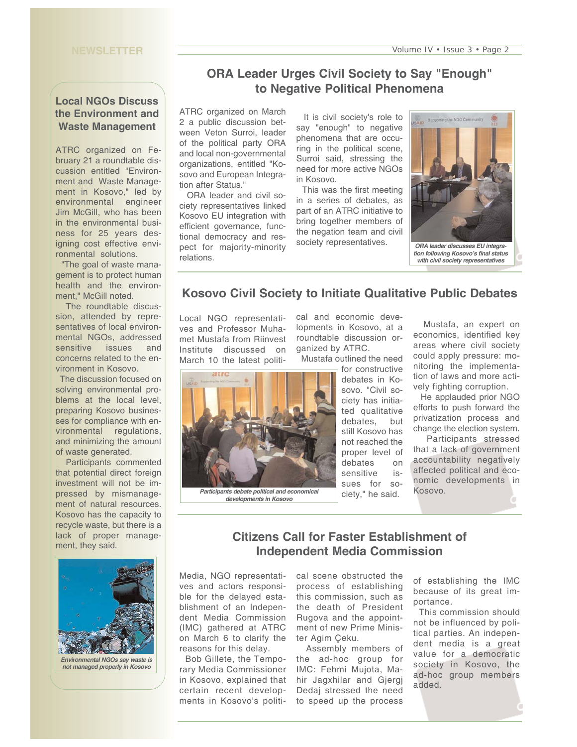#### **NEWSLETTER**

## **Local NGOs Discuss the Environment and Waste Management**

ATRC organized on February 21 a roundtable discussion entitled "Environment and Waste Management in Kosovo," led by environmental engineer Jim McGill, who has been in the environmental business for 25 years designing cost effective environmental solutions.

"The goal of waste management is to protect human health and the environment," McGill noted.

The roundtable discussion, attended by representatives of local environmental NGOs, addressed sensitive issues and concerns related to the environment in Kosovo.

The discussion focused on solving environmental problems at the local level, preparing Kosovo businesses for compliance with environmental regulations, and minimizing the amount of waste generated.

Participants commented that potential direct foreign investment will not be impressed by mismanagement of natural resources. Kosovo has the capacity to recycle waste, but there is a lack of proper management, they said.



*Environmental NGOs say waste is not managed properly in Kosovo*

# **ORA Leader Urges Civil Society to Say "Enough" to Negative Political Phenomena**

ATRC organized on March 2 a public discussion between Veton Surroi, leader of the political party ORA and local non-governmental organizations, entitled "Kosovo and European Integration after Status."

ORA leader and civil society representatives linked Kosovo EU integration with efficient governance, functional democracy and respect for majority-minority relations.

It is civil society's role to say "enough" to negative phenomena that are occuring in the political scene, Surroi said, stressing the need for more active NGOs in Kosovo.

This was the first meeting in a series of debates, as part of an ATRC initiative to bring together members of the negation team and civil society representatives.



*tion following Kosovo's final status with civil society representatives* 

## **Kosovo Civil Society to Initiate Qualitative Public Debates**

Local NGO representatives and Professor Muhamet Mustafa from Riinvest Institute discussed on March 10 the latest political and economic developments in Kosovo, at a roundtable discussion organized by ATRC.

Mustafa outlined the need



*developments in Kosovo* 

for constructive debates in Ko-

sovo. "Civil society has initiated qualitative debates, but still Kosovo has not reached the proper level of debates on sensitive issues for society," he said.

Mustafa, an expert on economics, identified key areas where civil society could apply pressure: monitoring the implementation of laws and more actively fighting corruption.

He applauded prior NGO efforts to push forward the privatization process and change the election system.

Participants stressed that a lack of government accountability negatively affected political and economic developments in Kosovo.

## **Citizens Call for Faster Establishment of Independent Media Commission**

Media, NGO representatives and actors responsible for the delayed establishment of an Independent Media Commission (IMC) gathered at ATRC on March 6 to clarify the reasons for this delay.

Bob Gillete, the Temporary Media Commissioner in Kosovo, explained that certain recent developments in Kosovo's political scene obstructed the process of establishing this commission, such as the death of President Rugova and the appointment of new Prime Minister Agim Çeku.

Assembly members of the ad-hoc group for IMC: Fehmi Mujota, Mahir Jagxhilar and Gjergj Dedaj stressed the need to speed up the process

of establishing the IMC because of its great importance.

This commission should not be influenced by political parties. An independent media is a great value for a democratic society in Kosovo, the ad-hoc group members added.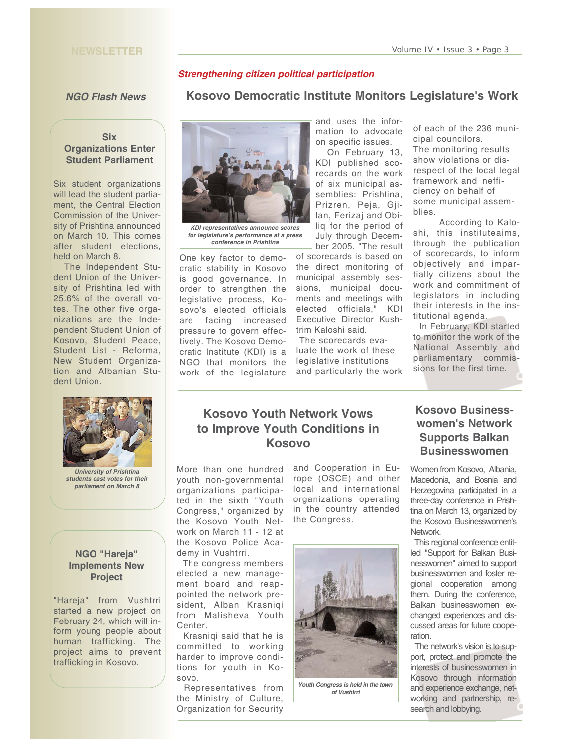#### **NEWSLETTER**

### *Strengthening citizen political participation*

#### *NGO Flash News*

### **Six Organizations Enter Student Parliament**

Six student organizations will lead the student parliament, the Central Election Commission of the University of Prishtina announced on March 10. This comes after student elections, held on March 8.

The Independent Student Union of the University of Prishtina led with 25.6% of the overall votes. The other five organizations are the Independent Student Union of Kosovo, Student Peace, Student List - Reforma, New Student Organization and Albanian Student Union.



*students cast votes for their parliament on March 8*

### **NGO "Hareja" Implements New Project**

"Hareja" from Vushtrri started a new project on February 24, which will inform young people about human trafficking. The project aims to prevent trafficking in Kosovo.



*KDI representatives announce scores for legislature's performance at a press conference in Prishtina* 

One key factor to democratic stability in Kosovo is good governance. In order to strengthen the legislative process, Kosovo's elected officials are facing increased pressure to govern effectively. The Kosovo Democratic Institute (KDI) is a NGO that monitors the work of the legislature and uses the information to advocate on specific issues.

**Kosovo Democratic Institute Monitors Legislature's Work** 

On February 13, KDI published scorecards on the work of six municipal assemblies: Prishtina, Prizren, Peja, Gjilan, Ferizaj and Obiliq for the period of July through December 2005. "The result

of scorecards is based on the direct monitoring of municipal assembly sessions, municipal documents and meetings with elected officials," KDI Executive Director Kushtrim Kaloshi said.

The scorecards evaluate the work of these legislative institutions and particularly the work of each of the 236 municipal councilors.

The monitoring results show violations or disrespect of the local legal framework and inefficiency on behalf of some municipal assemblies.

According to Kaloshi, this instituteaims, through the publication of scorecards, to inform objectively and impartially citizens about the work and commitment of legislators in including their interests in the institutional agenda.

In February, KDI started to monitor the work of the National Assembly and parliamentary commissions for the first time.

# **Kosovo Youth Network Vows to Improve Youth Conditions in Kosovo**

More than one hundred youth non-governmental organizations participated in the sixth "Youth Congress," organized by the Kosovo Youth Network on March 11 - 12 at the Kosovo Police Academy in Vushtrri.

The congress members elected a new management board and reappointed the network president, Alban Krasniqi from Malisheva Youth Center.

Krasniqi said that he is committed to working harder to improve conditions for youth in Kosovo.

Representatives from the Ministry of Culture, Organization for Security

and Cooperation in Europe (OSCE) and other local and international organizations operating in the country attended the Congress.



*Youth Congress is held in the town of Vushtrri*

# **Kosovo Businesswomen's Network Supports Balkan Businesswomen**

Women from Kosovo, Albania, Macedonia, and Bosnia and Herzegovina participated in a three-day conference in Prishtina on March 13, organized by the Kosovo Businesswomen's Network.

This regional conference entitled "Support for Balkan Businesswomen" aimed to support businesswomen and foster regional cooperation among them. During the conference, Balkan businesswomen exchanged experiences and discussed areas for future cooperation.

The network's vision is to support, protect and promote the interests of businesswomen in Kosovo through information and experience exchange, networking and partnership, research and lobbying.